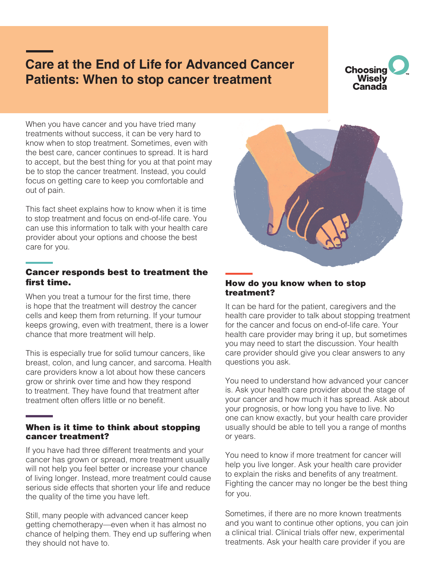# **Care at the End of Life for Advanced Cancer Patients: When to stop cancer treatment**



When you have cancer and you have tried many treatments without success, it can be very hard to know when to stop treatment. Sometimes, even with the best care, cancer continues to spread. It is hard to accept, but the best thing for you at that point may be to stop the cancer treatment. Instead, you could focus on getting care to keep you comfortable and out of pain.

This fact sheet explains how to know when it is time to stop treatment and focus on end-of-life care. You can use this information to talk with your health care provider about your options and choose the best care for you.

### Cancer responds best to treatment the first time.

When you treat a tumour for the first time, there is hope that the treatment will destroy the cancer cells and keep them from returning. If your tumour keeps growing, even with treatment, there is a lower chance that more treatment will help.

This is especially true for solid tumour cancers, like breast, colon, and lung cancer, and sarcoma. Health care providers know a lot about how these cancers grow or shrink over time and how they respond to treatment. They have found that treatment after treatment often offers little or no benefit.

### When is it time to think about stopping cancer treatment?

If you have had three different treatments and your cancer has grown or spread, more treatment usually will not help you feel better or increase your chance of living longer. Instead, more treatment could cause serious side effects that shorten your life and reduce the quality of the time you have left.

Still, many people with advanced cancer keep getting chemotherapy—even when it has almost no chance of helping them. They end up suffering when they should not have to.



#### How do you know when to stop treatment?

It can be hard for the patient, caregivers and the health care provider to talk about stopping treatment for the cancer and focus on end-of-life care. Your health care provider may bring it up, but sometimes you may need to start the discussion. Your health care provider should give you clear answers to any questions you ask.

You need to understand how advanced your cancer is. Ask your health care provider about the stage of your cancer and how much it has spread. Ask about your prognosis, or how long you have to live. No one can know exactly, but your health care provider usually should be able to tell you a range of months or years.

You need to know if more treatment for cancer will help you live longer. Ask your health care provider to explain the risks and benefits of any treatment. Fighting the cancer may no longer be the best thing for you.

Sometimes, if there are no more known treatments and you want to continue other options, you can join a clinical trial. Clinical trials offer new, experimental treatments. Ask your health care provider if you are